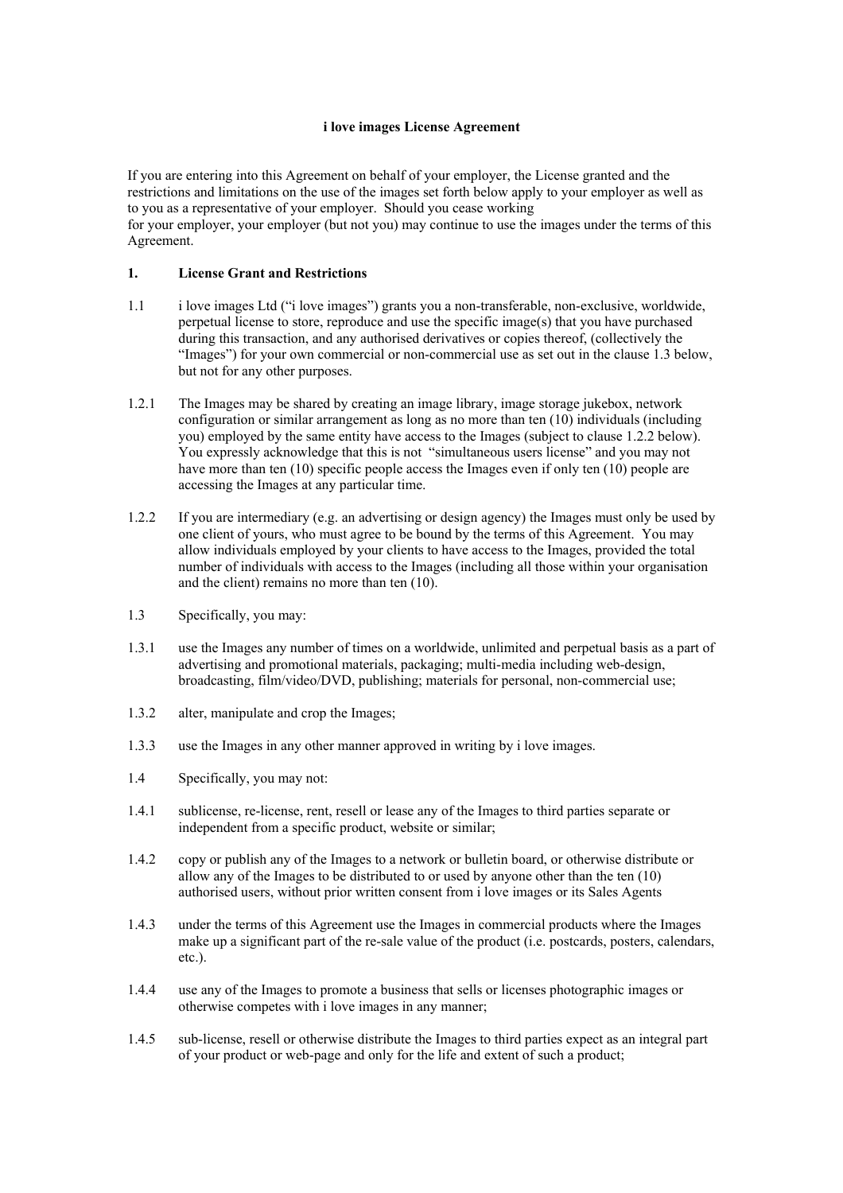### **i love images License Agreement**

If you are entering into this Agreement on behalf of your employer, the License granted and the restrictions and limitations on the use of the images set forth below apply to your employer as well as to you as a representative of your employer. Should you cease working for your employer, your employer (but not you) may continue to use the images under the terms of this Agreement.

### **1. License Grant and Restrictions**

- 1.1 i love images Ltd ("i love images") grants you a non-transferable, non-exclusive, worldwide, perpetual license to store, reproduce and use the specific image(s) that you have purchased during this transaction, and any authorised derivatives or copies thereof, (collectively the "Images") for your own commercial or non-commercial use as set out in the clause 1.3 below, but not for any other purposes.
- 1.2.1 The Images may be shared by creating an image library, image storage jukebox, network configuration or similar arrangement as long as no more than ten (10) individuals (including you) employed by the same entity have access to the Images (subject to clause 1.2.2 below). You expressly acknowledge that this is not "simultaneous users license" and you may not have more than ten (10) specific people access the Images even if only ten (10) people are accessing the Images at any particular time.
- 1.2.2 If you are intermediary (e.g. an advertising or design agency) the Images must only be used by one client of yours, who must agree to be bound by the terms of this Agreement. You may allow individuals employed by your clients to have access to the Images, provided the total number of individuals with access to the Images (including all those within your organisation and the client) remains no more than ten (10).
- 1.3 Specifically, you may:
- 1.3.1 use the Images any number of times on a worldwide, unlimited and perpetual basis as a part of advertising and promotional materials, packaging; multi-media including web-design, broadcasting, film/video/DVD, publishing; materials for personal, non-commercial use;
- 1.3.2 alter, manipulate and crop the Images;
- 1.3.3 use the Images in any other manner approved in writing by i love images.
- 1.4 Specifically, you may not:
- 1.4.1 sublicense, re-license, rent, resell or lease any of the Images to third parties separate or independent from a specific product, website or similar;
- 1.4.2 copy or publish any of the Images to a network or bulletin board, or otherwise distribute or allow any of the Images to be distributed to or used by anyone other than the ten (10) authorised users, without prior written consent from i love images or its Sales Agents
- 1.4.3 under the terms of this Agreement use the Images in commercial products where the Images make up a significant part of the re-sale value of the product (i.e. postcards, posters, calendars, etc.).
- 1.4.4 use any of the Images to promote a business that sells or licenses photographic images or otherwise competes with i love images in any manner;
- 1.4.5 sub-license, resell or otherwise distribute the Images to third parties expect as an integral part of your product or web-page and only for the life and extent of such a product;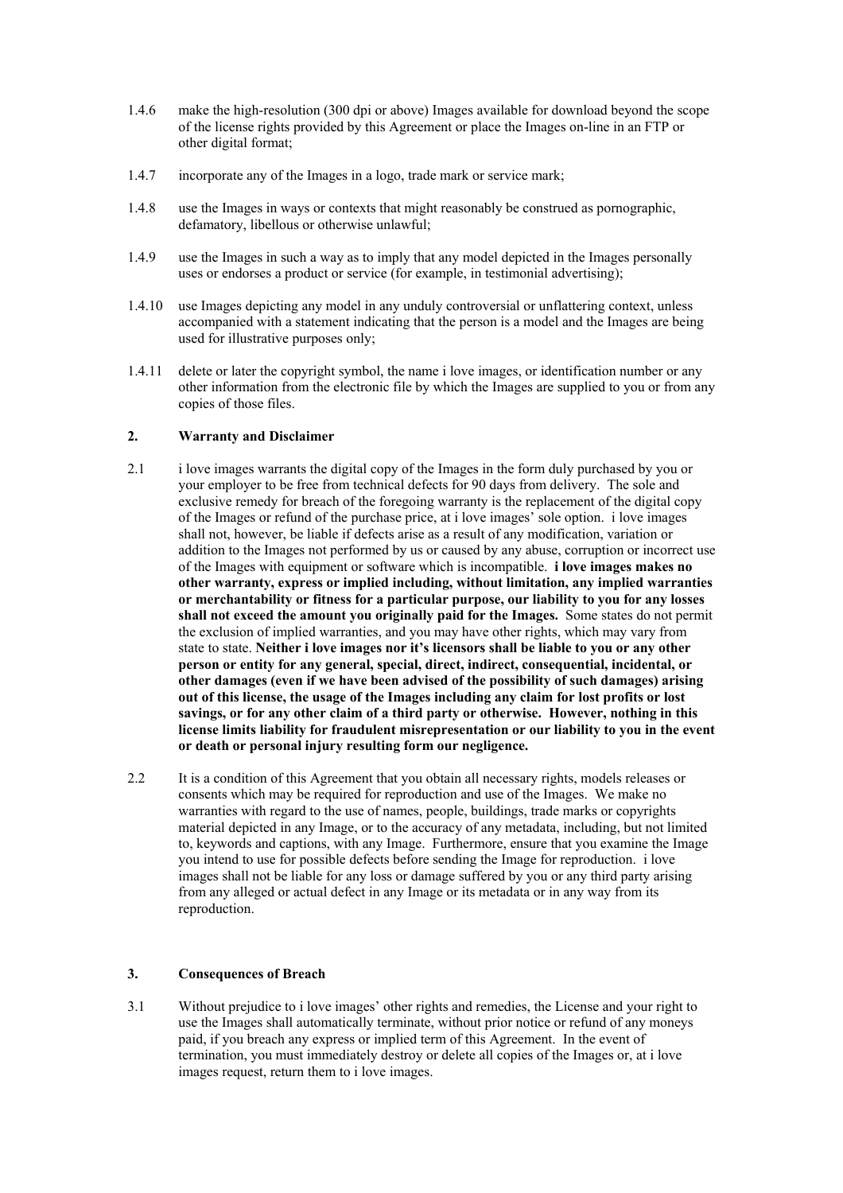- 1.4.6 make the high-resolution (300 dpi or above) Images available for download beyond the scope of the license rights provided by this Agreement or place the Images on-line in an FTP or other digital format;
- 1.4.7 incorporate any of the Images in a logo, trade mark or service mark;
- 1.4.8 use the Images in ways or contexts that might reasonably be construed as pornographic, defamatory, libellous or otherwise unlawful;
- 1.4.9 use the Images in such a way as to imply that any model depicted in the Images personally uses or endorses a product or service (for example, in testimonial advertising);
- 1.4.10 use Images depicting any model in any unduly controversial or unflattering context, unless accompanied with a statement indicating that the person is a model and the Images are being used for illustrative purposes only;
- 1.4.11 delete or later the copyright symbol, the name i love images, or identification number or any other information from the electronic file by which the Images are supplied to you or from any copies of those files.

### **2. Warranty and Disclaimer**

- 2.1 i love images warrants the digital copy of the Images in the form duly purchased by you or your employer to be free from technical defects for 90 days from delivery. The sole and exclusive remedy for breach of the foregoing warranty is the replacement of the digital copy of the Images or refund of the purchase price, at i love images' sole option. i love images shall not, however, be liable if defects arise as a result of any modification, variation or addition to the Images not performed by us or caused by any abuse, corruption or incorrect use of the Images with equipment or software which is incompatible. **i love images makes no other warranty, express or implied including, without limitation, any implied warranties or merchantability or fitness for a particular purpose, our liability to you for any losses shall not exceed the amount you originally paid for the Images.** Some states do not permit the exclusion of implied warranties, and you may have other rights, which may vary from state to state. **Neither i love images nor it's licensors shall be liable to you or any other person or entity for any general, special, direct, indirect, consequential, incidental, or other damages (even if we have been advised of the possibility of such damages) arising out of this license, the usage of the Images including any claim for lost profits or lost savings, or for any other claim of a third party or otherwise. However, nothing in this license limits liability for fraudulent misrepresentation or our liability to you in the event or death or personal injury resulting form our negligence.**
- 2.2 It is a condition of this Agreement that you obtain all necessary rights, models releases or consents which may be required for reproduction and use of the Images. We make no warranties with regard to the use of names, people, buildings, trade marks or copyrights material depicted in any Image, or to the accuracy of any metadata, including, but not limited to, keywords and captions, with any Image. Furthermore, ensure that you examine the Image you intend to use for possible defects before sending the Image for reproduction. i love images shall not be liable for any loss or damage suffered by you or any third party arising from any alleged or actual defect in any Image or its metadata or in any way from its reproduction.

### **3. Consequences of Breach**

3.1 Without prejudice to i love images' other rights and remedies, the License and your right to use the Images shall automatically terminate, without prior notice or refund of any moneys paid, if you breach any express or implied term of this Agreement. In the event of termination, you must immediately destroy or delete all copies of the Images or, at i love images request, return them to i love images.